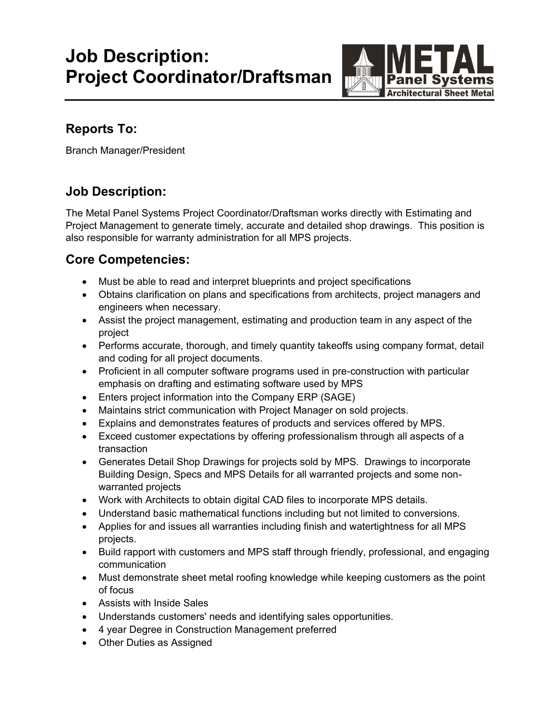# **Job Description: Project Coordinator/Draftsman**



## **Reports To:**

Branch Manager/President

### **Job Description:**

The Metal Panel Systems Project Coordinator/Draftsman works directly with Estimating and Project Management to generate timely, accurate and detailed shop drawings. This position is also responsible for warranty administration for all MPS projects.

#### **Core Competencies:**

- Must be able to read and interpret blueprints and project specifications
- Obtains clarification on plans and specifications from architects, project managers and engineers when necessary.
- Assist the project management, estimating and production team in any aspect of the project
- Performs accurate, thorough, and timely quantity takeoffs using company format, detail and coding for all project documents.
- Proficient in all computer software programs used in pre-construction with particular emphasis on drafting and estimating software used by MPS
- Enters project information into the Company ERP (SAGE)
- Maintains strict communication with Project Manager on sold projects.
- Explains and demonstrates features of products and services offered by MPS.
- Exceed customer expectations by offering professionalism through all aspects of a transaction
- Generates Detail Shop Drawings for projects sold by MPS. Drawings to incorporate Building Design, Specs and MPS Details for all warranted projects and some nonwarranted projects
- Work with Architects to obtain digital CAD files to incorporate MPS details.
- Understand basic mathematical functions including but not limited to conversions.
- Applies for and issues all warranties including finish and watertightness for all MPS projects.
- Build rapport with customers and MPS staff through friendly, professional, and engaging communication
- Must demonstrate sheet metal roofing knowledge while keeping customers as the point of focus
- Assists with Inside Sales
- Understands customers' needs and identifying sales opportunities.
- 4 year Degree in Construction Management preferred
- Other Duties as Assigned